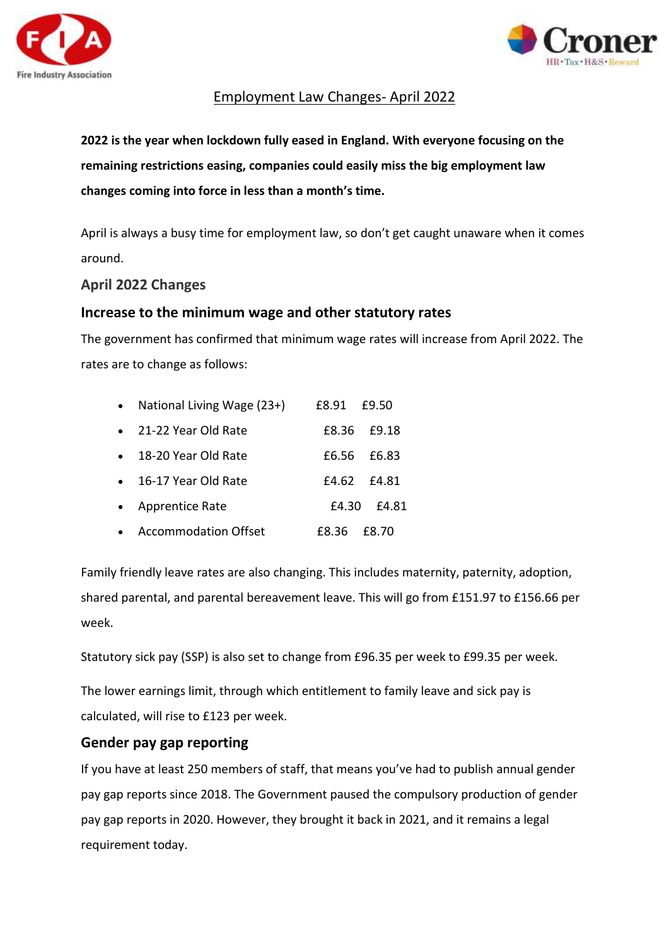



# Employment Law Changes- April 2022

**2022 is the year when lockdown fully eased in England. With everyone focusing on the remaining restrictions easing, companies could easily miss the big employment law changes coming into force in less than a month's time.**

April is always a busy time for employment law, so don't get caught unaware when it comes around.

#### **April 2022 Changes**

#### **Increase to the minimum wage and other statutory rates**

The government has confirmed that minimum wage rates will increase from April 2022. The rates are to change as follows:

| National Living Wage (23+)  | £8.91 | £9.50       |
|-----------------------------|-------|-------------|
| • 21-22 Year Old Rate       |       | £8.36 £9.18 |
| 18-20 Year Old Rate         |       | £6.56 £6.83 |
| 16-17 Year Old Rate         |       | £4.62 £4.81 |
| • Apprentice Rate           | £4.30 | £4.81       |
| <b>Accommodation Offset</b> | F8.36 | £8.70       |

Family friendly leave rates are also changing. This includes maternity, paternity, adoption, shared parental, and parental bereavement leave. This will go from £151.97 to £156.66 per week.

Statutory sick pay (SSP) is also set to change from £96.35 per week to £99.35 per week.

The lower earnings limit, through which entitlement to family leave and sick pay is calculated, will rise to £123 per week.

## **Gender pay gap reporting**

If you have at least 250 members of staff, that means you've had to publish annual gender pay gap reports since 2018. The Government paused the compulsory production of gender pay gap reports in 2020. However, they brought it back in 2021, and it remains a legal requirement today.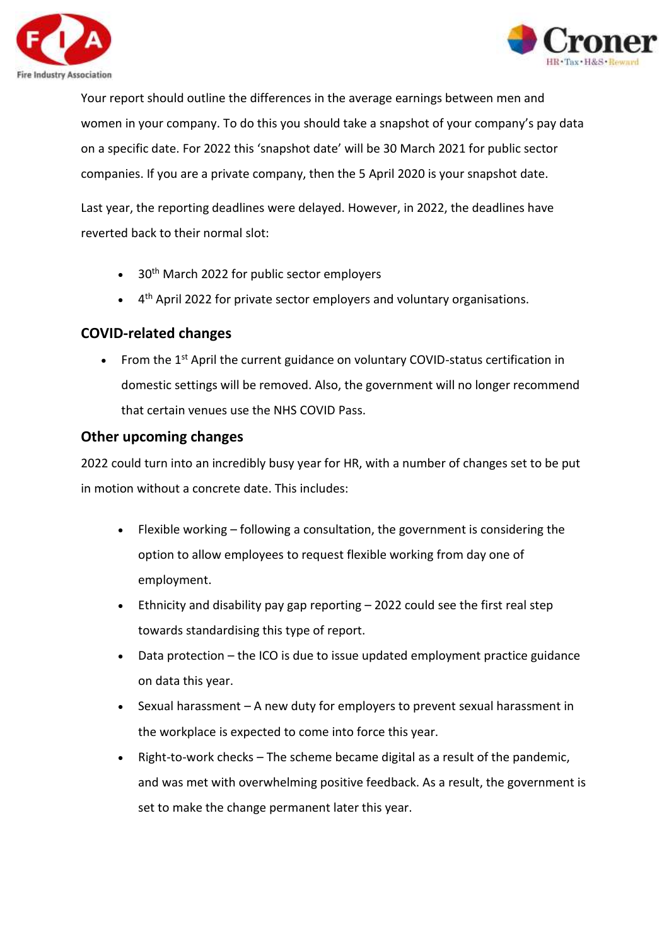



Your report should outline the differences in the average earnings between men and women in your company. To do this you should take a snapshot of your company's pay data on a specific date. For 2022 this 'snapshot date' will be 30 March 2021 for public sector companies. If you are a private company, then the 5 April 2020 is your snapshot date.

Last year, the reporting deadlines were delayed. However, in 2022, the deadlines have reverted back to their normal slot:

- 30<sup>th</sup> March 2022 for public sector employers
- 4<sup>th</sup> April 2022 for private sector employers and voluntary organisations.

## **COVID-related changes**

• From the  $1<sup>st</sup>$  April the current guidance on voluntary COVID-status certification in domestic settings will be removed. Also, the government will no longer recommend that certain venues use the NHS COVID Pass.

## **Other upcoming changes**

2022 could turn into an incredibly busy year for HR, with a number of changes set to be put in motion without a concrete date. This includes:

- Flexible working following a consultation, the government is considering the option to allow employees to request flexible working from day one of employment.
- Ethnicity and disability pay gap reporting 2022 could see the first real step towards standardising this type of report.
- Data protection the ICO is due to issue updated employment practice guidance on data this year.
- Sexual harassment A new duty for employers to prevent sexual harassment in the workplace is expected to come into force this year.
- Right-to-work checks The scheme became digital as a result of the pandemic, and was met with overwhelming positive feedback. As a result, the government is set to make the change permanent later this year.